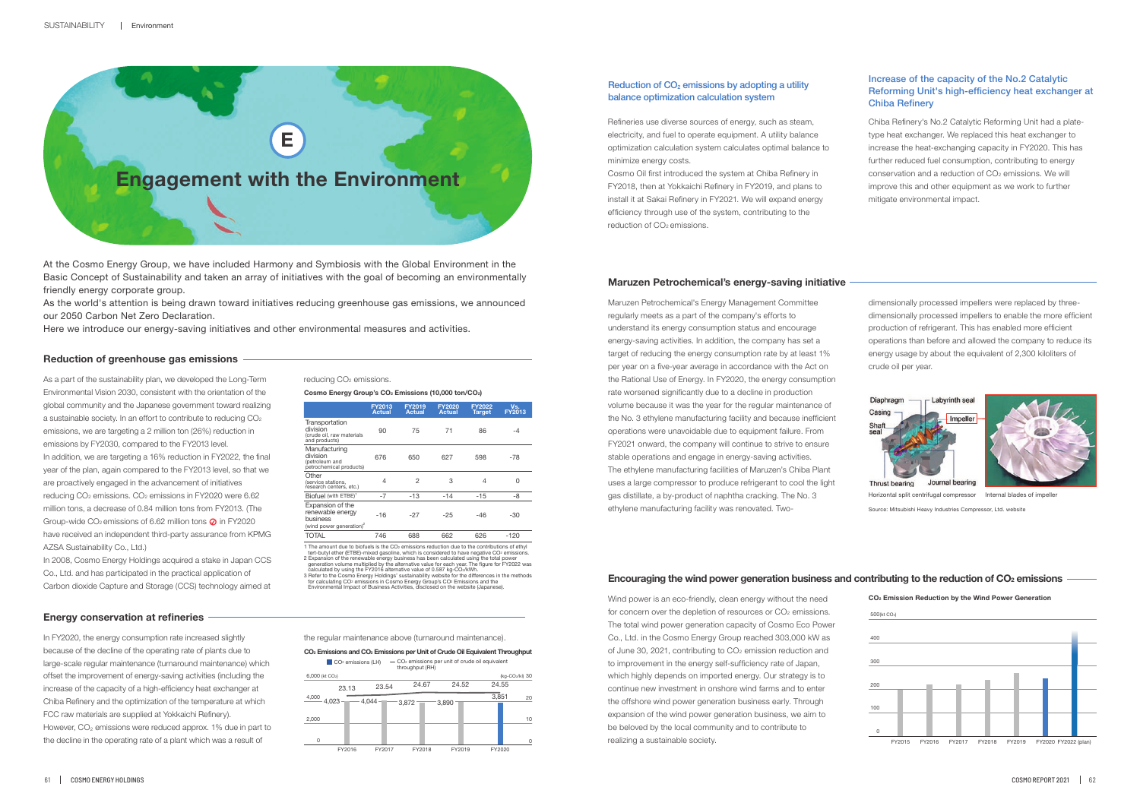

At the Cosmo Energy Group, we have included Harmony and Symbiosis with the Global Environment in the Basic Concept of Sustainability and taken an array of initiatives with the goal of becoming an environmentally friendly energy corporate group.

## Reduction of  $CO<sub>2</sub>$  emissions by adopting a utility balance optimization calculation system

As the world's attention is being drawn toward initiatives reducing greenhouse gas emissions, we announced our 2050 Carbon Net Zero Declaration.

Here we introduce our energy-saving initiatives and other environmental measures and activities.

## Increase of the capacity of the No.2 Catalytic Reforming Unit's high-efficiency heat exchanger at Chiba Refinery

#### **Reduction of greenhouse gas emissions**

|                                                                                          | <b>FY2013</b><br><b>Actual</b> | FY2019<br><b>Actual</b> | <b>FY2020</b><br><b>Actual</b> | FY2022<br>Target | Vs.<br><b>FY2013</b> |
|------------------------------------------------------------------------------------------|--------------------------------|-------------------------|--------------------------------|------------------|----------------------|
| Transportation<br>division<br>(crude oil, raw materials<br>and products)                 | 90                             | 75                      | 71                             | 86               | -4                   |
| Manufacturing<br>division<br>(petroleum and<br>petrochemical products)                   | 676                            | 650                     | 627                            | 598              | -78                  |
| Other<br>(service stations.<br>research centers, etc.)                                   | 4                              | $\overline{2}$          | 3                              | 4                | 0                    |
| Biofuel (with ETBE) <sup>1</sup>                                                         | $-7$                           | $-13$                   | $-14$                          | $-15$            | -8                   |
| Expansion of the<br>renewable energy<br>business<br>(wind power generation) <sup>2</sup> | $-16$                          | $-27$                   | $-25$                          | $-46$            | $-30$                |
| <b>TOTAL</b>                                                                             | 746                            | 688                     | 662                            | 626              | $-120$               |

1 The amount due to biofuels is the CO<sub>2</sub> emissions reduction due to the contributions of ethyl tert-butyl ether (ETBE)-mixed gasoline, which is considered to have negative CO2 emissions.<br>2 Expansion of the renewable energy business has been calculated using the total power<br>generation volume multiplied by the alterna 3 Refer to the Cosmo Energy Holdings' sustainability website for the differences in the methods<br>for calculating CO: emissions in Cosmo Energy Group's CO: Emissions and the<br>Environmental Impact of Business Activities, discl

**Cosmo Energy Group's CO2 Emissions (10,000 ton/CO2)**

Cosmo Oil first introduced the system at Chiba Refinery in FY2018, then at Yokkaichi Refinery in FY2019, and plans to install it at Sakai Refinery in FY2021. We will expand energy efficiency through use of the system, contributing to the reduction of CO<sub>2</sub> emissions.

**CO2 Emission Reduction by the Wind Power Generation**

**Energy conservation at refineries**



## **Maruzen Petrochemical's energy-saving initiative**

# **Encouraging the wind power generation business and contributing to the reduction of CO2 emissions**

Source: Mitsubishi Heavy Industries Compressor, Ltd. website



As a part of the sustainability plan, we developed the Long-Term Environmental Vision 2030, consistent with the orientation of the global community and the Japanese government toward realizing a sustainable society. In an effort to contribute to reducing  $CO<sub>2</sub>$ emissions, we are targeting a 2 million ton (26%) reduction in emissions by FY2030, compared to the FY2013 level. In addition, we are targeting a 16% reduction in FY2022, the final year of the plan, again compared to the FY2013 level, so that we are proactively engaged in the advancement of initiatives reducing CO<sub>2</sub> emissions. CO<sub>2</sub> emissions in FY2020 were 6.62 million tons, a decrease of 0.84 million tons from FY2013. (The Group-wide  $CO<sub>2</sub>$  emissions of 6.62 million tons  $\Omega$  in FY2020 have received an independent third-party assurance from KPMG AZSA Sustainability Co., Ltd.)

In 2008, Cosmo Energy Holdings acquired a stake in Japan CCS Co., Ltd. and has participated in the practical application of Carbon dioxide Capture and Storage (CCS) technology aimed at

reducing CO<sub>2</sub> emissions.

Refineries use diverse sources of energy, such as steam, electricity, and fuel to operate equipment. A utility balance optimization calculation system calculates optimal balance to minimize energy costs.

Maruzen Petrochemical's Energy Management Committee regularly meets as a part of the company's efforts to understand its energy consumption status and encourage energy-saving activities. In addition, the company has set a target of reducing the energy consumption rate by at least 1% per year on a five-year average in accordance with the Act on the Rational Use of Energy. In FY2020, the energy consumption rate worsened significantly due to a decline in production volume because it was the year for the regular maintenance of the No. 3 ethylene manufacturing facility and because inefficient operations were unavoidable due to equipment failure. From FY2021 onward, the company will continue to strive to ensure stable operations and engage in energy-saving activities. The ethylene manufacturing facilities of Maruzen's Chiba Plant uses a large compressor to produce refrigerant to cool the light gas distillate, a by-product of naphtha cracking. The No. 3 ethylene manufacturing facility was renovated. Two-

Wind power is an eco-friendly, clean energy without the need for concern over the depletion of resources or CO<sub>2</sub> emissions. The total wind power generation capacity of Cosmo Eco Power Co., Ltd. in the Cosmo Energy Group reached 303,000 kW as of June 30, 2021, contributing to CO<sub>2</sub> emission reduction and to improvement in the energy self-sufficiency rate of Japan, which highly depends on imported energy. Our strategy is to continue new investment in onshore wind farms and to enter the offshore wind power generation business early. Through expansion of the wind power generation business, we aim to be beloved by the local community and to contribute to realizing a sustainable society.

Chiba Refinery's No.2 Catalytic Reforming Unit had a platetype heat exchanger. We replaced this heat exchanger to increase the heat-exchanging capacity in FY2020. This has further reduced fuel consumption, contributing to energy conservation and a reduction of CO<sub>2</sub> emissions. We will improve this and other equipment as we work to further mitigate environmental impact.

In FY2020, the energy consumption rate increased slightly because of the decline of the operating rate of plants due to large-scale regular maintenance (turnaround maintenance) which offset the improvement of energy-saving activities (including the increase of the capacity of a high-efficiency heat exchanger at Chiba Refinery and the optimization of the temperature at which FCC raw materials are supplied at Yokkaichi Refinery). However, CO<sub>2</sub> emissions were reduced approx. 1% due in part to the decline in the operating rate of a plant which was a result of

the regular maintenance above (turnaround maintenance).

dimensionally processed impellers were replaced by threedimensionally processed impellers to enable the more efficient production of refrigerant. This has enabled more efficient operations than before and allowed the company to reduce its energy usage by about the equivalent of 2,300 kiloliters of crude oil per year.



Horizontal split centrifugal compressor Internal blades of impeller